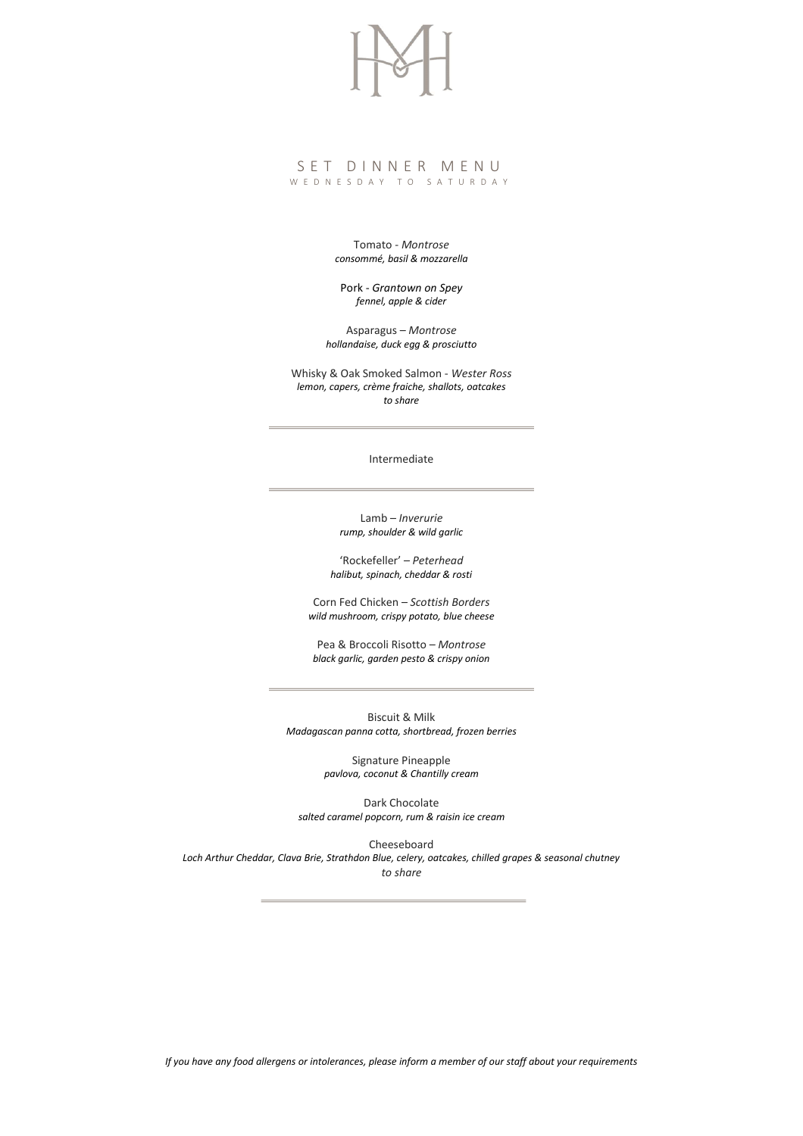## S E T D I N N E R M E N U W E D N E S D A Y T O S A T U R D A Y

Tomato - *Montrose consommé, basil & mozzarella*

Pork - *Grantown on Spey fennel, apple & cider*

Asparagus – *Montrose hollandaise, duck egg & prosciutto*

Whisky & Oak Smoked Salmon - *Wester Ross lemon, capers, crème fraiche, shallots, oatcakes to share*

Intermediate

Lamb – *Inverurie rump, shoulder & wild garlic*

'Rockefeller' – *Peterhead halibut, spinach, cheddar & rosti*

Corn Fed Chicken – *Scottish Borders wild mushroom, crispy potato, blue cheese*

Pea & Broccoli Risotto – *Montrose black garlic, garden pesto & crispy onion*

Biscuit & Milk *Madagascan panna cotta, shortbread, frozen berries*

> Signature Pineapple *pavlova, coconut & Chantilly cream*

Dark Chocolate *salted caramel popcorn, rum & raisin ice cream*

Cheeseboard *Loch Arthur Cheddar, Clava Brie, Strathdon Blue, celery, oatcakes, chilled grapes & seasonal chutney to share*